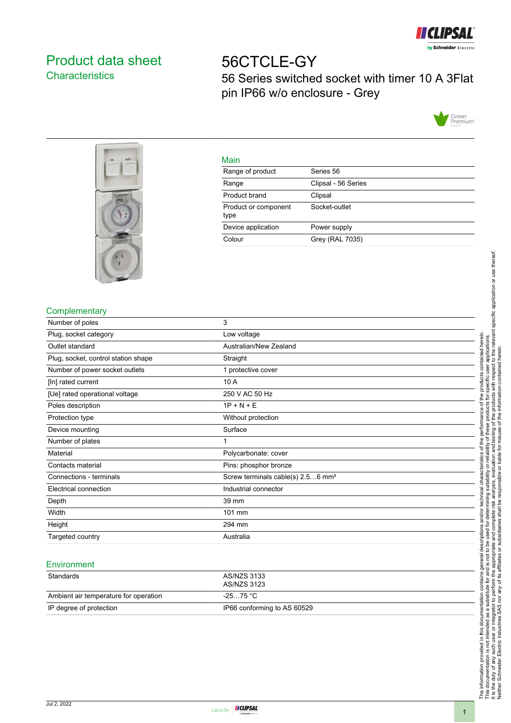

# <span id="page-0-0"></span>Product data sheet **Characteristics**

# 56CTCLE-GY 56 Series switched socket with timer 10 A 3Flat pin IP66 w/o enclosure - Grey





|         | ٠ |
|---------|---|
| ×<br>__ |   |

| <u>ividii i</u>              |                     |
|------------------------------|---------------------|
| Range of product             | Series 56           |
| Range                        | Clipsal - 56 Series |
| Product brand                | Clipsal             |
| Product or component<br>type | Socket-outlet       |
| Device application           | Power supply        |
| Colour                       | Grey (RAL 7035)     |
|                              |                     |

## **Complementary**

| Number of poles                     | 3                                             |
|-------------------------------------|-----------------------------------------------|
| Plug, socket category               | Low voltage                                   |
| Outlet standard                     | Australian/New Zealand                        |
| Plug, socket, control station shape | Straight                                      |
| Number of power socket outlets      | 1 protective cover                            |
| [In] rated current                  | 10 A                                          |
| [Ue] rated operational voltage      | 250 V AC 50 Hz                                |
| Poles description                   | $1P + N + E$                                  |
| Protection type                     | Without protection                            |
| Device mounting                     | Surface                                       |
| Number of plates                    |                                               |
| Material                            | Polycarbonate: cover                          |
| Contacts material                   | Pins: phosphor bronze                         |
| Connections - terminals             | Screw terminals cable(s) 2.56 mm <sup>2</sup> |
| Electrical connection               | Industrial connector                          |
| Depth                               | 39 mm                                         |
| Width                               | 101 mm                                        |
| Height                              | 294 mm                                        |
| Targeted country                    | Australia                                     |

#### **Environment**

| Standards                             | AS/NZS 3133<br>AS/NZS 3123  |
|---------------------------------------|-----------------------------|
| Ambient air temperature for operation | -25…75 °C                   |
| IP degree of protection               | IP66 conforming to AS 60529 |